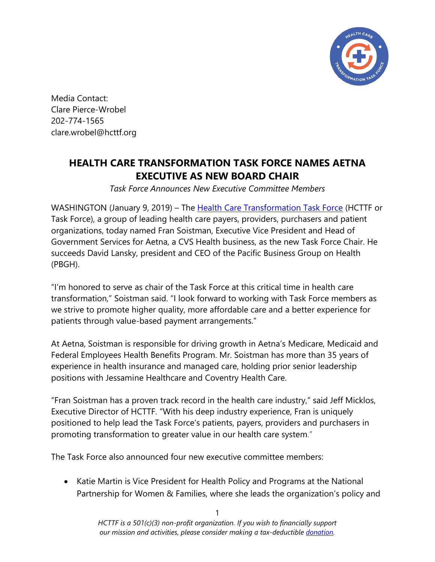

Media Contact: Clare Pierce-Wrobel 202-774-1565 clare.wrobel@hcttf.org

## **HEALTH CARE TRANSFORMATION TASK FORCE NAMES AETNA EXECUTIVE AS NEW BOARD CHAIR**

*Task Force Announces New Executive Committee Members*

WASHINGTON (January 9, 2019) – The [Health Care Transformation Task Force](https://hcttf.org/) (HCTTF or Task Force), a group of leading health care payers, providers, purchasers and patient organizations, today named Fran Soistman, Executive Vice President and Head of Government Services for Aetna, a CVS Health business, as the new Task Force Chair. He succeeds David Lansky, president and CEO of the Pacific Business Group on Health (PBGH).

"I'm honored to serve as chair of the Task Force at this critical time in health care transformation," Soistman said. "I look forward to working with Task Force members as we strive to promote higher quality, more affordable care and a better experience for patients through value-based payment arrangements."

At Aetna, Soistman is responsible for driving growth in Aetna's Medicare, Medicaid and Federal Employees Health Benefits Program. Mr. Soistman has more than 35 years of experience in health insurance and managed care, holding prior senior leadership positions with Jessamine Healthcare and Coventry Health Care.

"Fran Soistman has a proven track record in the health care industry," said Jeff Micklos, Executive Director of HCTTF. "With his deep industry experience, Fran is uniquely positioned to help lead the Task Force's patients, payers, providers and purchasers in promoting transformation to greater value in our health care system."

The Task Force also announced four new executive committee members:

• Katie Martin is Vice President for Health Policy and Programs at the National Partnership for Women & Families, where she leads the organization's policy and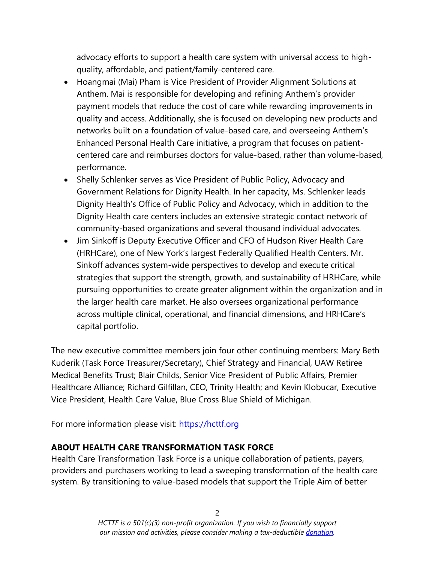advocacy efforts to support a health care system with universal access to highquality, affordable, and patient/family-centered care.

- Hoangmai (Mai) Pham is Vice President of Provider Alignment Solutions at Anthem. Mai is responsible for developing and refining Anthem's provider payment models that reduce the cost of care while rewarding improvements in quality and access. Additionally, she is focused on developing new products and networks built on a foundation of value-based care, and overseeing Anthem's Enhanced Personal Health Care initiative, a program that focuses on patientcentered care and reimburses doctors for value-based, rather than volume-based, performance.
- Shelly Schlenker serves as Vice President of Public Policy, Advocacy and Government Relations for Dignity Health. In her capacity, Ms. Schlenker leads Dignity Health's Office of Public Policy and Advocacy, which in addition to the Dignity Health care centers includes an extensive strategic contact network of community-based organizations and several thousand individual advocates.
- Jim Sinkoff is Deputy Executive Officer and CFO of Hudson River Health Care (HRHCare), one of New York's largest Federally Qualified Health Centers. Mr. Sinkoff advances system-wide perspectives to develop and execute critical strategies that support the strength, growth, and sustainability of HRHCare, while pursuing opportunities to create greater alignment within the organization and in the larger health care market. He also oversees organizational performance across multiple clinical, operational, and financial dimensions, and HRHCare's capital portfolio.

The new executive committee members join four other continuing members: Mary Beth Kuderik (Task Force Treasurer/Secretary), Chief Strategy and Financial, UAW Retiree Medical Benefits Trust; Blair Childs, Senior Vice President of Public Affairs, Premier Healthcare Alliance; Richard Gilfillan, CEO, Trinity Health; and Kevin Klobucar, Executive Vice President, Health Care Value, Blue Cross Blue Shield of Michigan.

For more information please visit: http[s://h](https://hcttf.org/)cttf.org

## **ABOUT HEALTH CARE TRANSFORMATION TASK FORCE**

Health Care Transformation Task Force is a unique collaboration of patients, payers, providers and purchasers working to lead a sweeping transformation of the health care system. By transitioning to value-based models that support the Triple Aim of better